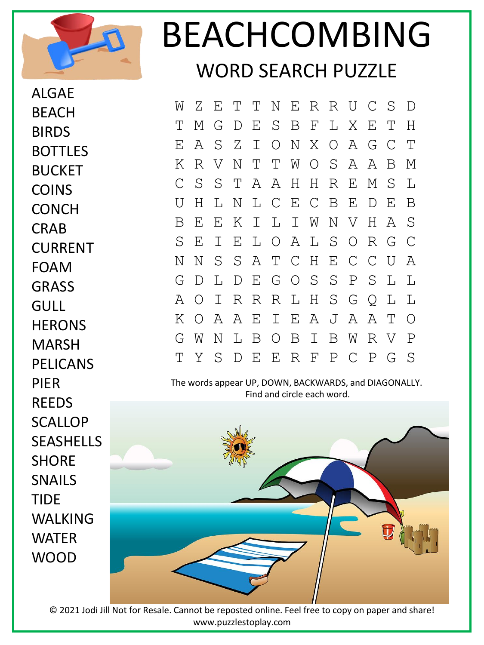

ALGAE

**BFACH** 

## BEACHCOMBING WORD SEARCH PUZZLE

W Z E T T N E R R U C S D T M G D E S B F L X E T H E A S Z I O N X O A G C T K R V N T T W O S A A B M C S S T A A H H R E M S L U H L N L C E C B E D E B B E E K I L I W N V H A S S E I E L O A L S O R G C N N S S A T C H E C C U A G D L D E G O S S P S L L A O I R R R L H S G Q L L K O A A E I E A J A A T O G W N L B O B I B W R V P T Y S D E E R F P C P G S

The words appear UP, DOWN, BACKWARDS, and DIAGONALLY. Find and circle each word.



© 2021 Jodi Jill Not for Resale. Cannot be reposted online. Feel free to copy on paper and share! www.puzzlestoplay.com

BIRDS BOTTLES BUCKET COINS **CONCH** CRAB CURRENT FOAM **GRASS GULL HERONS** MARSH PELICANS PIER **REFDS SCALLOP** SEASHELLS **SHORF** SNAILS TIDE WALKING WATER WOOD